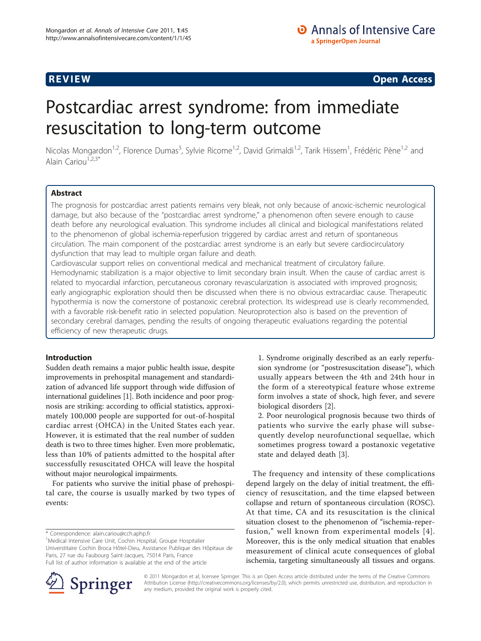**REVIEW CONSTRUCTION CONSTRUCTION CONSTRUCTS** 

# Postcardiac arrest syndrome: from immediate resuscitation to long-term outcome

Nicolas Mongardon<sup>1,2</sup>, Florence Dumas<sup>3</sup>, Sylvie Ricome<sup>1,2</sup>, David Grimaldi<sup>1,2</sup>, Tarik Hissem<sup>1</sup>, Frédéric Pène<sup>1,2</sup> and Alain Cariou $1,2,3^*$ 

# Abstract

The prognosis for postcardiac arrest patients remains very bleak, not only because of anoxic-ischemic neurological damage, but also because of the "postcardiac arrest syndrome," a phenomenon often severe enough to cause death before any neurological evaluation. This syndrome includes all clinical and biological manifestations related to the phenomenon of global ischemia-reperfusion triggered by cardiac arrest and return of spontaneous circulation. The main component of the postcardiac arrest syndrome is an early but severe cardiocirculatory dysfunction that may lead to multiple organ failure and death.

Cardiovascular support relies on conventional medical and mechanical treatment of circulatory failure. Hemodynamic stabilization is a major objective to limit secondary brain insult. When the cause of cardiac arrest is related to myocardial infarction, percutaneous coronary revascularization is associated with improved prognosis; early angiographic exploration should then be discussed when there is no obvious extracardiac cause. Therapeutic hypothermia is now the cornerstone of postanoxic cerebral protection. Its widespread use is clearly recommended, with a favorable risk-benefit ratio in selected population. Neuroprotection also is based on the prevention of secondary cerebral damages, pending the results of ongoing therapeutic evaluations regarding the potential efficiency of new therapeutic drugs.

# Introduction

Sudden death remains a major public health issue, despite improvements in prehospital management and standardization of advanced life support through wide diffusion of international guidelines [[1](#page-9-0)]. Both incidence and poor prognosis are striking: according to official statistics, approximately 100,000 people are supported for out-of-hospital cardiac arrest (OHCA) in the United States each year. However, it is estimated that the real number of sudden death is two to three times higher. Even more problematic, less than 10% of patients admitted to the hospital after successfully resuscitated OHCA will leave the hospital without major neurological impairments.

For patients who survive the initial phase of prehospital care, the course is usually marked by two types of events:

\* Correspondence: [alain.cariou@cch.aphp.fr](mailto:alain.cariou@cch.aphp.fr)

<sup>1</sup>Medical Intensive Care Unit, Cochin Hospital, Groupe Hospitalier Universtitaire Cochin Broca Hôtel-Dieu, Assistance Publique des Hôpitaux de Paris, 27 rue du Faubourg Saint-Jacques, 75014 Paris, France Full list of author information is available at the end of the article

1. Syndrome originally described as an early reperfusion syndrome (or "postresuscitation disease"), which usually appears between the 4th and 24th hour in the form of a stereotypical feature whose extreme form involves a state of shock, high fever, and severe biological disorders [\[2](#page-9-0)].

2. Poor neurological prognosis because two thirds of patients who survive the early phase will subsequently develop neurofunctional sequellae, which sometimes progress toward a postanoxic vegetative state and delayed death [\[3](#page-9-0)].

The frequency and intensity of these complications depend largely on the delay of initial treatment, the efficiency of resuscitation, and the time elapsed between collapse and return of spontaneous circulation (ROSC). At that time, CA and its resuscitation is the clinical situation closest to the phenomenon of "ischemia-reperfusion," well known from experimental models [[4\]](#page-9-0). Moreover, this is the only medical situation that enables measurement of clinical acute consequences of global ischemia, targeting simultaneously all tissues and organs.



© 2011 Mongardon et al; licensee Springer. This is an Open Access article distributed under the terms of the Creative Commons Attribution License [\(http://creativecommons.org/licenses/by/2.0](http://creativecommons.org/licenses/by/2.0)), which permits unrestricted use, distribution, and reproduction in any medium, provided the original work is properly cited.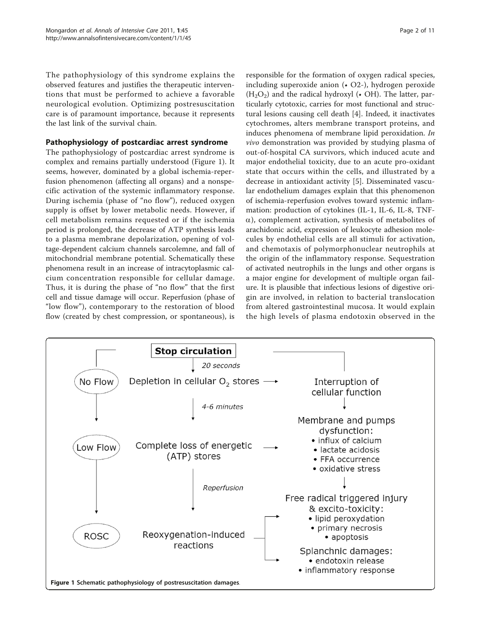The pathophysiology of this syndrome explains the observed features and justifies the therapeutic interventions that must be performed to achieve a favorable neurological evolution. Optimizing postresuscitation care is of paramount importance, because it represents the last link of the survival chain.

# Pathophysiology of postcardiac arrest syndrome

The pathophysiology of postcardiac arrest syndrome is complex and remains partially understood (Figure 1). It seems, however, dominated by a global ischemia-reperfusion phenomenon (affecting all organs) and a nonspecific activation of the systemic inflammatory response. During ischemia (phase of "no flow"), reduced oxygen supply is offset by lower metabolic needs. However, if cell metabolism remains requested or if the ischemia period is prolonged, the decrease of ATP synthesis leads to a plasma membrane depolarization, opening of voltage-dependent calcium channels sarcolemne, and fall of mitochondrial membrane potential. Schematically these phenomena result in an increase of intracytoplasmic calcium concentration responsible for cellular damage. Thus, it is during the phase of "no flow" that the first cell and tissue damage will occur. Reperfusion (phase of "low flow"), contemporary to the restoration of blood flow (created by chest compression, or spontaneous), is

responsible for the formation of oxygen radical species, including superoxide anion (• O2-), hydrogen peroxide  $(H<sub>2</sub>O<sub>2</sub>)$  and the radical hydroxyl (• OH). The latter, particularly cytotoxic, carries for most functional and structural lesions causing cell death [\[4](#page-9-0)]. Indeed, it inactivates cytochromes, alters membrane transport proteins, and induces phenomena of membrane lipid peroxidation. In vivo demonstration was provided by studying plasma of out-of-hospital CA survivors, which induced acute and major endothelial toxicity, due to an acute pro-oxidant state that occurs within the cells, and illustrated by a decrease in antioxidant activity [\[5](#page-9-0)]. Disseminated vascular endothelium damages explain that this phenomenon of ischemia-reperfusion evolves toward systemic inflammation: production of cytokines (IL-1, IL-6, IL-8, TNF- $\alpha$ ), complement activation, synthesis of metabolites of arachidonic acid, expression of leukocyte adhesion molecules by endothelial cells are all stimuli for activation, and chemotaxis of polymorphonuclear neutrophils at the origin of the inflammatory response. Sequestration of activated neutrophils in the lungs and other organs is a major engine for development of multiple organ failure. It is plausible that infectious lesions of digestive origin are involved, in relation to bacterial translocation from altered gastrointestinal mucosa. It would explain the high levels of plasma endotoxin observed in the

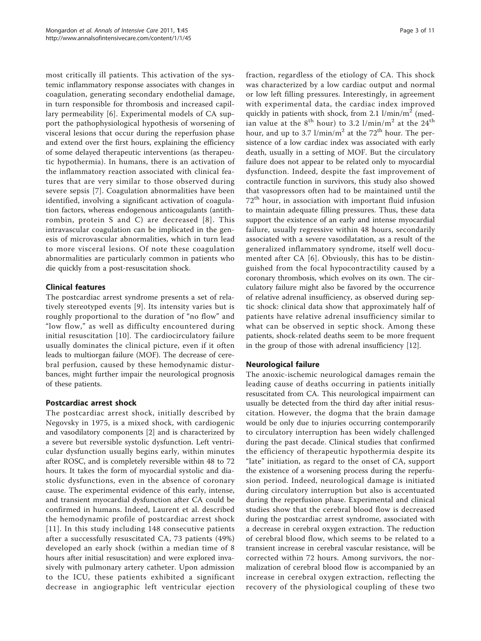most critically ill patients. This activation of the systemic inflammatory response associates with changes in coagulation, generating secondary endothelial damage, in turn responsible for thrombosis and increased capillary permeability [\[6](#page-9-0)]. Experimental models of CA support the pathophysiological hypothesis of worsening of visceral lesions that occur during the reperfusion phase and extend over the first hours, explaining the efficiency of some delayed therapeutic interventions (as therapeutic hypothermia). In humans, there is an activation of the inflammatory reaction associated with clinical features that are very similar to those observed during severe sepsis [[7\]](#page-9-0). Coagulation abnormalities have been identified, involving a significant activation of coagulation factors, whereas endogenous anticoagulants (antithrombin, protein S and C) are decreased [[8\]](#page-9-0). This intravascular coagulation can be implicated in the genesis of microvascular abnormalities, which in turn lead to more visceral lesions. Of note these coagulation abnormalities are particularly common in patients who die quickly from a post-resuscitation shock.

# Clinical features

The postcardiac arrest syndrome presents a set of relatively stereotyped events [\[9\]](#page-9-0). Its intensity varies but is roughly proportional to the duration of "no flow" and "low flow," as well as difficulty encountered during initial resuscitation [[10](#page-9-0)]. The cardiocirculatory failure usually dominates the clinical picture, even if it often leads to multiorgan failure (MOF). The decrease of cerebral perfusion, caused by these hemodynamic disturbances, might further impair the neurological prognosis of these patients.

# Postcardiac arrest shock

The postcardiac arrest shock, initially described by Negovsky in 1975, is a mixed shock, with cardiogenic and vasodilatory components [[2\]](#page-9-0) and is characterized by a severe but reversible systolic dysfunction. Left ventricular dysfunction usually begins early, within minutes after ROSC, and is completely reversible within 48 to 72 hours. It takes the form of myocardial systolic and diastolic dysfunctions, even in the absence of coronary cause. The experimental evidence of this early, intense, and transient myocardial dysfunction after CA could be confirmed in humans. Indeed, Laurent et al. described the hemodynamic profile of postcardiac arrest shock [[11\]](#page-9-0). In this study including 148 consecutive patients after a successfully resuscitated CA, 73 patients (49%) developed an early shock (within a median time of 8 hours after initial resuscitation) and were explored invasively with pulmonary artery catheter. Upon admission to the ICU, these patients exhibited a significant decrease in angiographic left ventricular ejection fraction, regardless of the etiology of CA. This shock was characterized by a low cardiac output and normal or low left filling pressures. Interestingly, in agreement with experimental data, the cardiac index improved quickly in patients with shock, from 2.1  $1/\text{min/m}^2$  (median value at the  $8^{th}$  hour) to 3.2 l/min/m<sup>2</sup> at the 24<sup>th</sup> hour, and up to 3.7  $1/\text{min/m}^2$  at the 72<sup>th</sup> hour. The persistence of a low cardiac index was associated with early death, usually in a setting of MOF. But the circulatory failure does not appear to be related only to myocardial dysfunction. Indeed, despite the fast improvement of contractile function in survivors, this study also showed that vasopressors often had to be maintained until the  $72<sup>th</sup>$  hour, in association with important fluid infusion to maintain adequate filling pressures. Thus, these data support the existence of an early and intense myocardial failure, usually regressive within 48 hours, secondarily associated with a severe vasodilatation, as a result of the generalized inflammatory syndrome, itself well documented after CA [[6\]](#page-9-0). Obviously, this has to be distinguished from the focal hypocontractility caused by a coronary thrombosis, which evolves on its own. The circulatory failure might also be favored by the occurrence of relative adrenal insufficiency, as observed during septic shock: clinical data show that approximately half of patients have relative adrenal insufficiency similar to what can be observed in septic shock. Among these patients, shock-related deaths seem to be more frequent in the group of those with adrenal insufficiency [\[12](#page-9-0)].

# Neurological failure

The anoxic-ischemic neurological damages remain the leading cause of deaths occurring in patients initially resuscitated from CA. This neurological impairment can usually be detected from the third day after initial resuscitation. However, the dogma that the brain damage would be only due to injuries occurring contemporarily to circulatory interruption has been widely challenged during the past decade. Clinical studies that confirmed the efficiency of therapeutic hypothermia despite its "late" initiation, as regard to the onset of CA, support the existence of a worsening process during the reperfusion period. Indeed, neurological damage is initiated during circulatory interruption but also is accentuated during the reperfusion phase. Experimental and clinical studies show that the cerebral blood flow is decreased during the postcardiac arrest syndrome, associated with a decrease in cerebral oxygen extraction. The reduction of cerebral blood flow, which seems to be related to a transient increase in cerebral vascular resistance, will be corrected within 72 hours. Among survivors, the normalization of cerebral blood flow is accompanied by an increase in cerebral oxygen extraction, reflecting the recovery of the physiological coupling of these two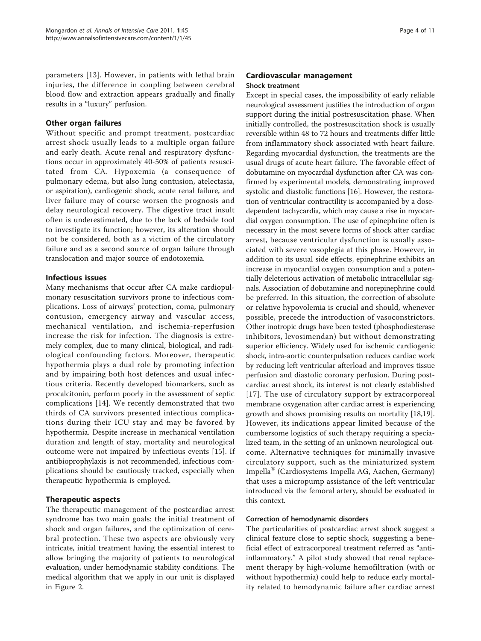parameters [[13](#page-9-0)]. However, in patients with lethal brain injuries, the difference in coupling between cerebral blood flow and extraction appears gradually and finally results in a "luxury" perfusion.

# Other organ failures

Without specific and prompt treatment, postcardiac arrest shock usually leads to a multiple organ failure and early death. Acute renal and respiratory dysfunctions occur in approximately 40-50% of patients resuscitated from CA. Hypoxemia (a consequence of pulmonary edema, but also lung contusion, atelectasia, or aspiration), cardiogenic shock, acute renal failure, and liver failure may of course worsen the prognosis and delay neurological recovery. The digestive tract insult often is underestimated, due to the lack of bedside tool to investigate its function; however, its alteration should not be considered, both as a victim of the circulatory failure and as a second source of organ failure through translocation and major source of endotoxemia.

# Infectious issues

Many mechanisms that occur after CA make cardiopulmonary resuscitation survivors prone to infectious complications. Loss of airways' protection, coma, pulmonary contusion, emergency airway and vascular access, mechanical ventilation, and ischemia-reperfusion increase the risk for infection. The diagnosis is extremely complex, due to many clinical, biological, and radiological confounding factors. Moreover, therapeutic hypothermia plays a dual role by promoting infection and by impairing both host defences and usual infectious criteria. Recently developed biomarkers, such as procalcitonin, perform poorly in the assessment of septic complications [\[14](#page-9-0)]. We recently demonstrated that two thirds of CA survivors presented infectious complications during their ICU stay and may be favored by hypothermia. Despite increase in mechanical ventilation duration and length of stay, mortality and neurological outcome were not impaired by infectious events [[15\]](#page-9-0). If antibioprophylaxis is not recommended, infectious complications should be cautiously tracked, especially when therapeutic hypothermia is employed.

# Therapeutic aspects

The therapeutic management of the postcardiac arrest syndrome has two main goals: the initial treatment of shock and organ failures, and the optimization of cerebral protection. These two aspects are obviously very intricate, initial treatment having the essential interest to allow bringing the majority of patients to neurological evaluation, under hemodynamic stability conditions. The medical algorithm that we apply in our unit is displayed in Figure [2.](#page-4-0)

# Cardiovascular management Shock treatment

Except in special cases, the impossibility of early reliable neurological assessment justifies the introduction of organ support during the initial postresuscitation phase. When initially controlled, the postresuscitation shock is usually reversible within 48 to 72 hours and treatments differ little from inflammatory shock associated with heart failure. Regarding myocardial dysfunction, the treatments are the usual drugs of acute heart failure. The favorable effect of dobutamine on myocardial dysfunction after CA was confirmed by experimental models, demonstrating improved systolic and diastolic functions [\[16](#page-9-0)]. However, the restoration of ventricular contractility is accompanied by a dosedependent tachycardia, which may cause a rise in myocardial oxygen consumption. The use of epinephrine often is necessary in the most severe forms of shock after cardiac arrest, because ventricular dysfunction is usually associated with severe vasoplegia at this phase. However, in addition to its usual side effects, epinephrine exhibits an increase in myocardial oxygen consumption and a potentially deleterious activation of metabolic intracellular signals. Association of dobutamine and norepinephrine could be preferred. In this situation, the correction of absolute or relative hypovolemia is crucial and should, whenever possible, precede the introduction of vasoconstrictors. Other inotropic drugs have been tested (phosphodiesterase inhibitors, levosimendan) but without demonstrating superior efficiency. Widely used for ischemic cardiogenic shock, intra-aortic counterpulsation reduces cardiac work by reducing left ventricular afterload and improves tissue perfusion and diastolic coronary perfusion. During postcardiac arrest shock, its interest is not clearly established [[17\]](#page-9-0). The use of circulatory support by extracorporeal membrane oxygenation after cardiac arrest is experiencing growth and shows promising results on mortality [[18](#page-9-0),[19](#page-9-0)]. However, its indications appear limited because of the cumbersome logistics of such therapy requiring a specialized team, in the setting of an unknown neurological outcome. Alternative techniques for minimally invasive circulatory support, such as the miniaturized system Impella® (Cardiosystems Impella AG, Aachen, Germany) that uses a micropump assistance of the left ventricular introduced via the femoral artery, should be evaluated in this context.

# Correction of hemodynamic disorders

The particularities of postcardiac arrest shock suggest a clinical feature close to septic shock, suggesting a beneficial effect of extracorporeal treatment referred as "antiinflammatory." A pilot study showed that renal replacement therapy by high-volume hemofiltration (with or without hypothermia) could help to reduce early mortality related to hemodynamic failure after cardiac arrest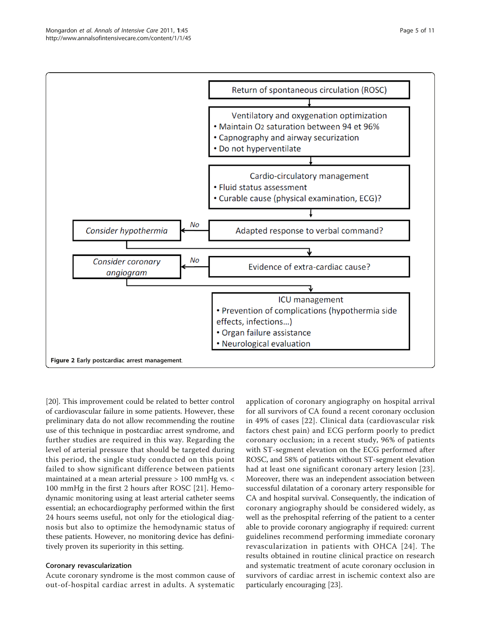<span id="page-4-0"></span>

[[20\]](#page-9-0). This improvement could be related to better control of cardiovascular failure in some patients. However, these preliminary data do not allow recommending the routine use of this technique in postcardiac arrest syndrome, and further studies are required in this way. Regarding the level of arterial pressure that should be targeted during this period, the single study conducted on this point failed to show significant difference between patients maintained at a mean arterial pressure > 100 mmHg vs. < 100 mmHg in the first 2 hours after ROSC [[21\]](#page-9-0). Hemodynamic monitoring using at least arterial catheter seems essential; an echocardiography performed within the first 24 hours seems useful, not only for the etiological diagnosis but also to optimize the hemodynamic status of these patients. However, no monitoring device has definitively proven its superiority in this setting.

# Coronary revascularization

Acute coronary syndrome is the most common cause of out-of-hospital cardiac arrest in adults. A systematic

application of coronary angiography on hospital arrival for all survivors of CA found a recent coronary occlusion in 49% of cases [[22](#page-9-0)]. Clinical data (cardiovascular risk factors chest pain) and ECG perform poorly to predict coronary occlusion; in a recent study, 96% of patients with ST-segment elevation on the ECG performed after ROSC, and 58% of patients without ST-segment elevation had at least one significant coronary artery lesion [[23](#page-9-0)]. Moreover, there was an independent association between successful dilatation of a coronary artery responsible for CA and hospital survival. Consequently, the indication of coronary angiography should be considered widely, as well as the prehospital referring of the patient to a center able to provide coronary angiography if required: current guidelines recommend performing immediate coronary revascularization in patients with OHCA [[24](#page-9-0)]. The results obtained in routine clinical practice on research and systematic treatment of acute coronary occlusion in survivors of cardiac arrest in ischemic context also are particularly encouraging [\[23\]](#page-9-0).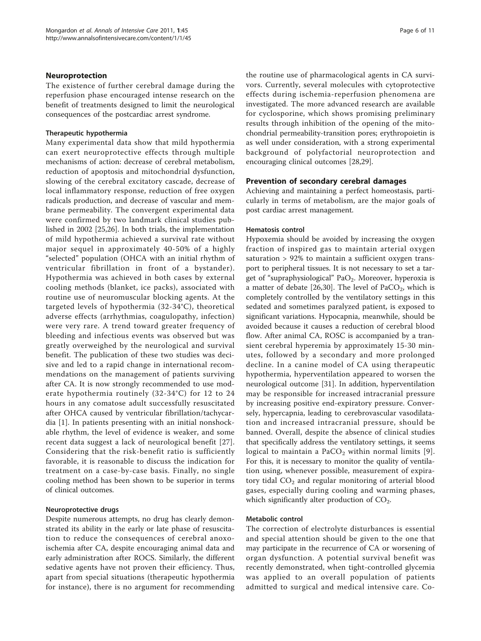#### Neuroprotection

The existence of further cerebral damage during the reperfusion phase encouraged intense research on the benefit of treatments designed to limit the neurological consequences of the postcardiac arrest syndrome.

### Therapeutic hypothermia

Many experimental data show that mild hypothermia can exert neuroprotective effects through multiple mechanisms of action: decrease of cerebral metabolism, reduction of apoptosis and mitochondrial dysfunction, slowing of the cerebral excitatory cascade, decrease of local inflammatory response, reduction of free oxygen radicals production, and decrease of vascular and membrane permeability. The convergent experimental data were confirmed by two landmark clinical studies published in 2002 [[25,26](#page-9-0)]. In both trials, the implementation of mild hypothermia achieved a survival rate without major sequel in approximately 40-50% of a highly "selected" population (OHCA with an initial rhythm of ventricular fibrillation in front of a bystander). Hypothermia was achieved in both cases by external cooling methods (blanket, ice packs), associated with routine use of neuromuscular blocking agents. At the targeted levels of hypothermia (32-34°C), theoretical adverse effects (arrhythmias, coagulopathy, infection) were very rare. A trend toward greater frequency of bleeding and infectious events was observed but was greatly overweighed by the neurological and survival benefit. The publication of these two studies was decisive and led to a rapid change in international recommendations on the management of patients surviving after CA. It is now strongly recommended to use moderate hypothermia routinely (32-34°C) for 12 to 24 hours in any comatose adult successfully resuscitated after OHCA caused by ventricular fibrillation/tachycardia [[1\]](#page-9-0). In patients presenting with an initial nonshockable rhythm, the level of evidence is weaker, and some recent data suggest a lack of neurological benefit [[27](#page-9-0)]. Considering that the risk-benefit ratio is sufficiently favorable, it is reasonable to discuss the indication for treatment on a case-by-case basis. Finally, no single cooling method has been shown to be superior in terms of clinical outcomes.

#### Neuroprotective drugs

Despite numerous attempts, no drug has clearly demonstrated its ability in the early or late phase of resuscitation to reduce the consequences of cerebral anoxoischemia after CA, despite encouraging animal data and early administration after ROCS. Similarly, the different sedative agents have not proven their efficiency. Thus, apart from special situations (therapeutic hypothermia for instance), there is no argument for recommending the routine use of pharmacological agents in CA survivors. Currently, several molecules with cytoprotective effects during ischemia-reperfusion phenomena are investigated. The more advanced research are available for cyclosporine, which shows promising preliminary results through inhibition of the opening of the mitochondrial permeability-transition pores; erythropoietin is as well under consideration, with a strong experimental background of polyfactorial neuroprotection and encouraging clinical outcomes [\[28,29](#page-9-0)].

### Prevention of secondary cerebral damages

Achieving and maintaining a perfect homeostasis, particularly in terms of metabolism, are the major goals of post cardiac arrest management.

#### Hematosis control

Hypoxemia should be avoided by increasing the oxygen fraction of inspired gas to maintain arterial oxygen saturation > 92% to maintain a sufficient oxygen transport to peripheral tissues. It is not necessary to set a target of "supraphysiological"  $PaO<sub>2</sub>$ . Moreover, hyperoxia is a matter of debate [[26](#page-9-0),[30](#page-9-0)]. The level of  $PaCO<sub>2</sub>$ , which is completely controlled by the ventilatory settings in this sedated and sometimes paralyzed patient, is exposed to significant variations. Hypocapnia, meanwhile, should be avoided because it causes a reduction of cerebral blood flow. After animal CA, ROSC is accompanied by a transient cerebral hyperemia by approximately 15-30 minutes, followed by a secondary and more prolonged decline. In a canine model of CA using therapeutic hypothermia, hyperventilation appeared to worsen the neurological outcome [\[31](#page-9-0)]. In addition, hyperventilation may be responsible for increased intracranial pressure by increasing positive end-expiratory pressure. Conversely, hypercapnia, leading to cerebrovascular vasodilatation and increased intracranial pressure, should be banned. Overall, despite the absence of clinical studies that specifically address the ventilatory settings, it seems logical to maintain a  $PaCO<sub>2</sub>$  within normal limits [[9\]](#page-9-0). For this, it is necessary to monitor the quality of ventilation using, whenever possible, measurement of expiratory tidal  $CO<sub>2</sub>$  and regular monitoring of arterial blood gases, especially during cooling and warming phases, which significantly alter production of  $CO<sub>2</sub>$ .

#### Metabolic control

The correction of electrolyte disturbances is essential and special attention should be given to the one that may participate in the recurrence of CA or worsening of organ dysfunction. A potential survival benefit was recently demonstrated, when tight-controlled glycemia was applied to an overall population of patients admitted to surgical and medical intensive care. Co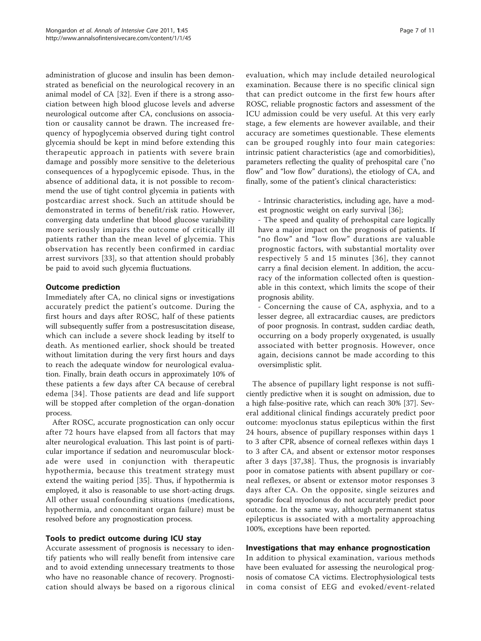administration of glucose and insulin has been demonstrated as beneficial on the neurological recovery in an animal model of CA [[32\]](#page-10-0). Even if there is a strong association between high blood glucose levels and adverse neurological outcome after CA, conclusions on association or causality cannot be drawn. The increased frequency of hypoglycemia observed during tight control glycemia should be kept in mind before extending this therapeutic approach in patients with severe brain damage and possibly more sensitive to the deleterious consequences of a hypoglycemic episode. Thus, in the absence of additional data, it is not possible to recommend the use of tight control glycemia in patients with postcardiac arrest shock. Such an attitude should be demonstrated in terms of benefit/risk ratio. However, converging data underline that blood glucose variability more seriously impairs the outcome of critically ill patients rather than the mean level of glycemia. This observation has recently been confirmed in cardiac arrest survivors [[33](#page-10-0)], so that attention should probably be paid to avoid such glycemia fluctuations.

# Outcome prediction

Immediately after CA, no clinical signs or investigations accurately predict the patient's outcome. During the first hours and days after ROSC, half of these patients will subsequently suffer from a postresuscitation disease, which can include a severe shock leading by itself to death. As mentioned earlier, shock should be treated without limitation during the very first hours and days to reach the adequate window for neurological evaluation. Finally, brain death occurs in approximately 10% of these patients a few days after CA because of cerebral edema [[34](#page-10-0)]. Those patients are dead and life support will be stopped after completion of the organ-donation process.

After ROSC, accurate prognostication can only occur after 72 hours have elapsed from all factors that may alter neurological evaluation. This last point is of particular importance if sedation and neuromuscular blockade were used in conjunction with therapeutic hypothermia, because this treatment strategy must extend the waiting period [\[35](#page-10-0)]. Thus, if hypothermia is employed, it also is reasonable to use short-acting drugs. All other usual confounding situations (medications, hypothermia, and concomitant organ failure) must be resolved before any prognostication process.

# Tools to predict outcome during ICU stay

Accurate assessment of prognosis is necessary to identify patients who will really benefit from intensive care and to avoid extending unnecessary treatments to those who have no reasonable chance of recovery. Prognostication should always be based on a rigorous clinical evaluation, which may include detailed neurological examination. Because there is no specific clinical sign that can predict outcome in the first few hours after ROSC, reliable prognostic factors and assessment of the ICU admission could be very useful. At this very early stage, a few elements are however available, and their accuracy are sometimes questionable. These elements can be grouped roughly into four main categories: intrinsic patient characteristics (age and comorbidities), parameters reflecting the quality of prehospital care ("no flow" and "low flow" durations), the etiology of CA, and finally, some of the patient's clinical characteristics:

- Intrinsic characteristics, including age, have a modest prognostic weight on early survival [\[36](#page-10-0)];

- The speed and quality of prehospital care logically have a major impact on the prognosis of patients. If "no flow" and "low flow" durations are valuable prognostic factors, with substantial mortality over respectively 5 and 15 minutes [[36](#page-10-0)], they cannot carry a final decision element. In addition, the accuracy of the information collected often is questionable in this context, which limits the scope of their prognosis ability.

- Concerning the cause of CA, asphyxia, and to a lesser degree, all extracardiac causes, are predictors of poor prognosis. In contrast, sudden cardiac death, occurring on a body properly oxygenated, is usually associated with better prognosis. However, once again, decisions cannot be made according to this oversimplistic split.

The absence of pupillary light response is not sufficiently predictive when it is sought on admission, due to a high false-positive rate, which can reach 30% [[37\]](#page-10-0). Several additional clinical findings accurately predict poor outcome: myoclonus status epilepticus within the first 24 hours, absence of pupillary responses within days 1 to 3 after CPR, absence of corneal reflexes within days 1 to 3 after CA, and absent or extensor motor responses after 3 days [[37](#page-10-0),[38\]](#page-10-0). Thus, the prognosis is invariably poor in comatose patients with absent pupillary or corneal reflexes, or absent or extensor motor responses 3 days after CA. On the opposite, single seizures and sporadic focal myoclonus do not accurately predict poor outcome. In the same way, although permanent status epilepticus is associated with a mortality approaching 100%, exceptions have been reported.

# Investigations that may enhance prognostication

In addition to physical examination, various methods have been evaluated for assessing the neurological prognosis of comatose CA victims. Electrophysiological tests in coma consist of EEG and evoked/event-related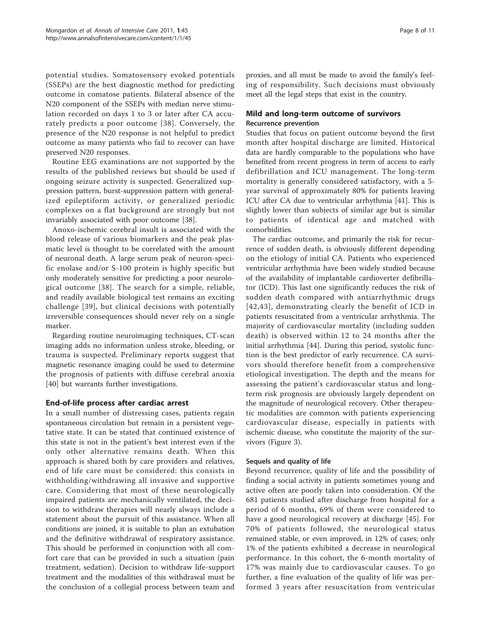potential studies. Somatosensory evoked potentials (SSEPs) are the best diagnostic method for predicting outcome in comatose patients. Bilateral absence of the N20 component of the SSEPs with median nerve stimulation recorded on days 1 to 3 or later after CA accurately predicts a poor outcome [[38\]](#page-10-0). Conversely, the presence of the N20 response is not helpful to predict outcome as many patients who fail to recover can have preserved N20 responses.

Routine EEG examinations are not supported by the results of the published reviews but should be used if ongoing seizure activity is suspected. Generalized suppression pattern, burst-suppression pattern with generalized epileptiform activity, or generalized periodic complexes on a flat background are strongly but not invariably associated with poor outcome [[38\]](#page-10-0).

Anoxo-ischemic cerebral insult is associated with the blood release of various biomarkers and the peak plasmatic level is thought to be correlated with the amount of neuronal death. A large serum peak of neuron-specific enolase and/or S-100 protein is highly specific but only moderately sensitive for predicting a poor neurological outcome [[38\]](#page-10-0). The search for a simple, reliable, and readily available biological test remains an exciting challenge [[39](#page-10-0)], but clinical decisions with potentially irreversible consequences should never rely on a single marker.

Regarding routine neuroimaging techniques, CT-scan imaging adds no information unless stroke, bleeding, or trauma is suspected. Preliminary reports suggest that magnetic resonance imaging could be used to determine the prognosis of patients with diffuse cerebral anoxia [[40\]](#page-10-0) but warrants further investigations.

# End-of-life process after cardiac arrest

In a small number of distressing cases, patients regain spontaneous circulation but remain in a persistent vegetative state. It can be stated that continued existence of this state is not in the patient's best interest even if the only other alternative remains death. When this approach is shared both by care providers and relatives, end of life care must be considered: this consists in withholding/withdrawing all invasive and supportive care. Considering that most of these neurologically impaired patients are mechanically ventilated, the decision to withdraw therapies will nearly always include a statement about the pursuit of this assistance. When all conditions are joined, it is suitable to plan an extubation and the definitive withdrawal of respiratory assistance. This should be performed in conjunction with all comfort care that can be provided in such a situation (pain treatment, sedation). Decision to withdraw life-support treatment and the modalities of this withdrawal must be the conclusion of a collegial process between team and

proxies, and all must be made to avoid the family's feeling of responsibility. Such decisions must obviously meet all the legal steps that exist in the country.

# Mild and long-term outcome of survivors Recurrence prevention

Studies that focus on patient outcome beyond the first month after hospital discharge are limited. Historical data are hardly comparable to the populations who have benefited from recent progress in term of access to early defibrillation and ICU management. The long-term mortality is generally considered satisfactory, with a 5 year survival of approximately 80% for patients leaving ICU after CA due to ventricular arrhythmia [\[41](#page-10-0)]. This is slightly lower than subjects of similar age but is similar to patients of identical age and matched with comorbidities.

The cardiac outcome, and primarily the risk for recurrence of sudden death, is obviously different depending on the etiology of initial CA. Patients who experienced ventricular arrhythmia have been widely studied because of the availability of implantable cardioverter defibrillator (ICD). This last one significantly reduces the risk of sudden death compared with antiarrhythmic drugs [[42,43](#page-10-0)], demonstrating clearly the benefit of ICD in patients resuscitated from a ventricular arrhythmia. The majority of cardiovascular mortality (including sudden death) is observed within 12 to 24 months after the initial arrhythmia [\[44\]](#page-10-0). During this period, systolic function is the best predictor of early recurrence. CA survivors should therefore benefit from a comprehensive etiological investigation. The depth and the means for assessing the patient's cardiovascular status and longterm risk prognosis are obviously largely dependent on the magnitude of neurological recovery. Other therapeutic modalities are common with patients experiencing cardiovascular disease, especially in patients with ischemic disease, who constitute the majority of the survivors (Figure [3\)](#page-8-0).

#### Sequels and quality of life

Beyond recurrence, quality of life and the possibility of finding a social activity in patients sometimes young and active often are poorly taken into consideration. Of the 681 patients studied after discharge from hospital for a period of 6 months, 69% of them were considered to have a good neurological recovery at discharge [[45\]](#page-10-0). For 70% of patients followed, the neurological status remained stable, or even improved, in 12% of cases; only 1% of the patients exhibited a decrease in neurological performance. In this cohort, the 6-month mortality of 17% was mainly due to cardiovascular causes. To go further, a fine evaluation of the quality of life was performed 3 years after resuscitation from ventricular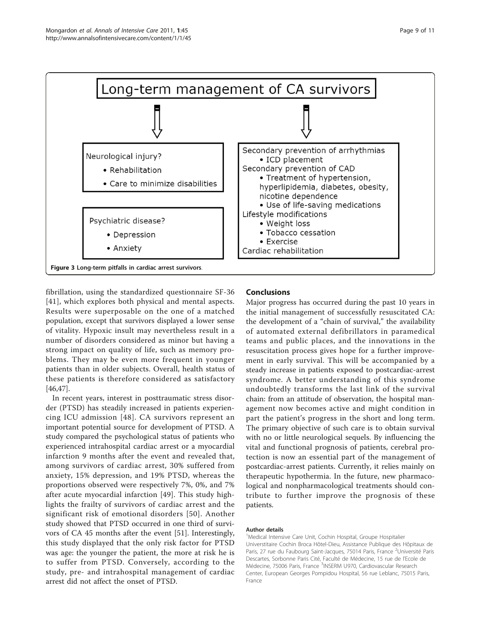<span id="page-8-0"></span>

fibrillation, using the standardized questionnaire SF-36 [[41](#page-10-0)], which explores both physical and mental aspects. Results were superposable on the one of a matched population, except that survivors displayed a lower sense of vitality. Hypoxic insult may nevertheless result in a number of disorders considered as minor but having a strong impact on quality of life, such as memory problems. They may be even more frequent in younger patients than in older subjects. Overall, health status of these patients is therefore considered as satisfactory [[46,47\]](#page-10-0).

In recent years, interest in posttraumatic stress disorder (PTSD) has steadily increased in patients experiencing ICU admission [[48](#page-10-0)]. CA survivors represent an important potential source for development of PTSD. A study compared the psychological status of patients who experienced intrahospital cardiac arrest or a myocardial infarction 9 months after the event and revealed that, among survivors of cardiac arrest, 30% suffered from anxiety, 15% depression, and 19% PTSD, whereas the proportions observed were respectively 7%, 0%, and 7% after acute myocardial infarction [[49\]](#page-10-0). This study highlights the frailty of survivors of cardiac arrest and the significant risk of emotional disorders [[50\]](#page-10-0). Another study showed that PTSD occurred in one third of survivors of CA 45 months after the event [[51\]](#page-10-0). Interestingly, this study displayed that the only risk factor for PTSD was age: the younger the patient, the more at risk he is to suffer from PTSD. Conversely, according to the study, pre- and intrahospital management of cardiac arrest did not affect the onset of PTSD.

# Conclusions

Major progress has occurred during the past 10 years in the initial management of successfully resuscitated CA: the development of a "chain of survival," the availability of automated external defibrillators in paramedical teams and public places, and the innovations in the resuscitation process gives hope for a further improvement in early survival. This will be accompanied by a steady increase in patients exposed to postcardiac-arrest syndrome. A better understanding of this syndrome undoubtedly transforms the last link of the survival chain: from an attitude of observation, the hospital management now becomes active and might condition in part the patient's progress in the short and long term. The primary objective of such care is to obtain survival with no or little neurological sequels. By influencing the vital and functional prognosis of patients, cerebral protection is now an essential part of the management of postcardiac-arrest patients. Currently, it relies mainly on therapeutic hypothermia. In the future, new pharmacological and nonpharmacological treatments should contribute to further improve the prognosis of these patients.

#### Author details

<sup>1</sup>Medical Intensive Care Unit, Cochin Hospital, Groupe Hospitalier Universtitaire Cochin Broca Hôtel-Dieu, Assistance Publique des Hôpitaux de Paris, 27 rue du Faubourg Saint-Jacques, 75014 Paris, France <sup>2</sup>Université Paris Descartes, Sorbonne Paris Cité, Faculté de Médecine, 15 rue de l'Ecole de Médecine, 75006 Paris, France <sup>3</sup>INSERM U970, Cardiovascular Research Center, European Georges Pompidou Hospital, 56 rue Leblanc, 75015 Paris, France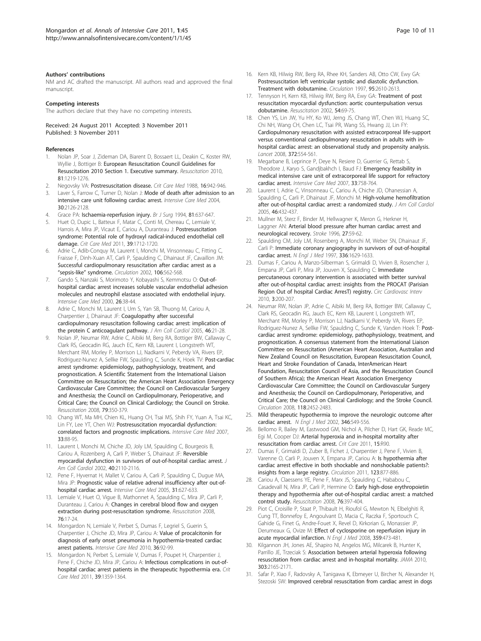#### <span id="page-9-0"></span>Authors' contributions

NM and AC drafted the manuscript. All authors read and approved the final manuscript.

#### Competing interests

The authors declare that they have no competing interests.

Received: 24 August 2011 Accepted: 3 November 2011 Published: 3 November 2011

#### References

- 1. Nolan JP, Soar J, Zideman DA, Biarent D, Bossaert LL, Deakin C, Koster RW, Wyllie J, Bottiger B: European Resuscitation Council Guidelines for Resuscitation 2010 Section 1. Executive summary. Resuscitation 2010, 81:1219-1276.
- 2. Negovsky VA: Postresuscitation disease. Crit Care Med 1988, 16:942-946.
- 3. Laver S, Farrow C, Turner D, Nolan J: Mode of death after admission to an intensive care unit following cardiac arrest. Intensive Care Med 2004, 30:2126-2128.
- 4. Grace PA: Ischaemia-reperfusion injury. Br J Surg 1994, 81:637-647.
- Huet O, Dupic L, Batteux F, Matar C, Conti M, Chereau C, Lemiale V, Harrois A, Mira JP, Vicaut E, Cariou A, Duranteau J: Postresuscitation syndrome: Potential role of hydroxyl radical-induced endothelial cell damage. Crit Care Med 2011, 39:1712-1720.
- Adrie C, Adib-Conquy M, Laurent I, Monchi M, Vinsonneau C, Fitting C, Fraisse F, Dinh-Xuan AT, Carli P, Spaulding C, Dhainaut JF, Cavaillon JM: Successful cardiopulmonary resuscitation after cardiac arrest as a "sepsis-like" syndrome. Circulation 2002, 106:562-568.
- Gando S, Nanzaki S, Morimoto Y, Kobayashi S, Kemmotsu O: Out-ofhospital cardiac arrest increases soluble vascular endothelial adhesion molecules and neutrophil elastase associated with endothelial injury. Intensive Care Med 2000, 26:38-44.
- 8. Adrie C, Monchi M, Laurent I, Um S, Yan SB, Thuong M, Cariou A, Charpentier J, Dhainaut JF: Coagulopathy after successful cardiopulmonary resuscitation following cardiac arrest: implication of the protein C anticoagulant pathway. J Am Coll Cardiol 2005, 46:21-28.
- 9. Nolan JP, Neumar RW, Adrie C, Aibiki M, Berg RA, Bottiger BW, Callaway C, Clark RS, Geocadin RG, Jauch EC, Kern KB, Laurent I, Longstreth WT, Merchant RM, Morley P, Morrison LJ, Nadkarni V, Peberdy VA, Rivers EP, Rodriguez-Nunez A, Sellke FW, Spaulding C, Sunde K, Hoek TV: Post-cardiac arrest syndrome: epidemiology, pathophysiology, treatment, and prognostication. A Scientific Statement from the International Liaison Committee on Resuscitation; the American Heart Association Emergency Cardiovascular Care Committee; the Council on Cardiovascular Surgery and Anesthesia; the Council on Cardiopulmonary, Perioperative, and Critical Care; the Council on Clinical Cardiology; the Council on Stroke. Resuscitation 2008, 79:350-379.
- 10. Chang WT, Ma MH, Chien KL, Huang CH, Tsai MS, Shih FY, Yuan A, Tsai KC, Lin FY, Lee YT, Chen WJ: Postresuscitation myocardial dysfunction: correlated factors and prognostic implications. Intensive Care Med 2007, 33:88-95.
- 11. Laurent I, Monchi M, Chiche JD, Joly LM, Spaulding C, Bourgeois B, Cariou A, Rozenberg A, Carli P, Weber S, Dhainaut JF: Reversible myocardial dysfunction in survivors of out-of-hospital cardiac arrest. J Am Coll Cardiol 2002, 40:2110-2116.
- 12. Pene F, Hyvernat H, Mallet V, Cariou A, Carli P, Spaulding C, Dugue MA, Mira JP: Prognostic value of relative adrenal insufficiency after out-ofhospital cardiac arrest. Intensive Care Med 2005, 31:627-633.
- 13. Lemiale V, Huet O, Vigue B, Mathonnet A, Spaulding C, Mira JP, Carli P, Duranteau J, Cariou A: Changes in cerebral blood flow and oxygen extraction during post-resuscitation syndrome. Resuscitation 2008, 76:17-24.
- 14. Mongardon N, Lemiale V, Perbet S, Dumas F, Legriel S, Guerin S, Charpentier J, Chiche JD, Mira JP, Cariou A: Value of procalcitonin for diagnosis of early onset pneumonia in hypothermia-treated cardiac arrest patients. Intensive Care Med 2010, 36:92-99.
- 15. Mongardon N, Perbet S, Lemiale V, Dumas F, Poupet H, Charpentier J, Pene F, Chiche JD, Mira JP, Cariou A: Infectious complications in out-ofhospital cardiac arrest patients in the therapeutic hypothermia era. Crit Care Med 2011, 39:1359-1364.
- 16. Kern KB, Hilwig RW, Berg RA, Rhee KH, Sanders AB, Otto CW, Ewy GA: Postresuscitation left ventricular systolic and diastolic dysfunction. Treatment with dobutamine. Circulation 1997, 95:2610-2613.
- 17. Tennyson H, Kern KB, Hilwig RW, Berg RA, Ewy GA: Treatment of post resuscitation myocardial dysfunction: aortic counterpulsation versus dobutamine. Resuscitation 2002, 54:69-75.
- 18. Chen YS, Lin JW, Yu HY, Ko WJ, Jerng JS, Chang WT, Chen WJ, Huang SC, Chi NH, Wang CH, Chen LC, Tsai PR, Wang SS, Hwang JJ, Lin FY: Cardiopulmonary resuscitation with assisted extracorporeal life-support versus conventional cardiopulmonary resuscitation in adults with inhospital cardiac arrest: an observational study and propensity analysis. Lancet 2008, 372:554-561.
- 19. Megarbane B, Leprince P, Deye N, Resiere D, Guerrier G, Rettab S, Theodore J, Karyo S, Gandjbakhch I, Baud FJ: Emergency feasibility in medical intensive care unit of extracorporeal life support for refractory cardiac arrest. Intensive Care Med 2007, 33:758-764.
- 20. Laurent I, Adrie C, Vinsonneau C, Cariou A, Chiche JD, Ohanessian A, Spaulding C, Carli P, Dhainaut JF, Monchi M: High-volume hemofiltration after out-of-hospital cardiac arrest: a randomized study. J Am Coll Cardiol 2005, 46:432-437.
- 21. Mullner M, Sterz F, Binder M, Hellwagner K, Meron G, Herkner H, Laggner AN: Arterial blood pressure after human cardiac arrest and neurological recovery. Stroke 1996, 27:59-62.
- 22. Spaulding CM, Joly LM, Rosenberg A, Monchi M, Weber SN, Dhainaut JF, Carli P: Immediate coronary angiography in survivors of out-of-hospital cardiac arrest. N Engl J Med 1997, 336:1629-1633.
- 23. Dumas F, Cariou A, Manzo-Silberman S, Grimaldi D, Vivien B, Rosencher J, Empana JP, Carli P, Mira JP, Jouven X, Spaulding C: Immediate percutaneous coronary intervention is associated with better survival after out-of-hospital cardiac arrest: insights from the PROCAT (Parisian Region Out of hospital Cardiac ArresT) registry. Circ Cardiovasc Interv 2010, 3:200-207.
- 24. Neumar RW, Nolan JP, Adrie C, Aibiki M, Berg RA, Bottiger BW, Callaway C, Clark RS, Geocadin RG, Jauch EC, Kern KB, Laurent I, Longstreth WT, Merchant RM, Morley P, Morrison LJ, Nadkarni V, Peberdy VA, Rivers EP, Rodriguez-Nunez A, Sellke FW, Spaulding C, Sunde K, Vanden Hoek T: Postcardiac arrest syndrome: epidemiology, pathophysiology, treatment, and prognostication. A consensus statement from the International Liaison Committee on Resuscitation (American Heart Association, Australian and New Zealand Council on Resuscitation, European Resuscitation Council, Heart and Stroke Foundation of Canada, InterAmerican Heart Foundation, Resuscitation Council of Asia, and the Resuscitation Council of Southern Africa); the American Heart Association Emergency Cardiovascular Care Committee; the Council on Cardiovascular Surgery and Anesthesia; the Council on Cardiopulmonary, Perioperative, and Critical Care; the Council on Clinical Cardiology; and the Stroke Council. Circulation 2008, 118:2452-2483.
- 25. Mild therapeutic hypothermia to improve the neurologic outcome after cardiac arrest. N Engl J Med 2002, 346:549-556.
- 26. Bellomo R, Bailey M, Eastwood GM, Nichol A, Pilcher D, Hart GK, Reade MC, Egi M, Cooper DJ: Arterial hyperoxia and in-hospital mortality after resuscitation from cardiac arrest. Crit Care 2011, 15:R90.
- 27. Dumas F, Grimaldi D, Zuber B, Fichet J, Charpentier J, Pene F, Vivien B, Varenne O, Carli P, Jouven X, Empana JP, Cariou A: Is hypothermia after cardiac arrest effective in both shockable and nonshockable patients?: insights from a large registry. Circulation 2011, 123:877-886.
- 28. Cariou A, Claessens YE, Pene F, Marx JS, Spaulding C, Hababou C, Casadevall N, Mira JP, Carli P, Hermine O: Early high-dose erythropoietin therapy and hypothermia after out-of-hospital cardiac arrest: a matched control study. Resuscitation 2008, 76:397-404.
- 29. Piot C, Croisille P, Staat P, Thibault H, Rioufol G, Mewton N, Elbelghiti R, Cung TT, Bonnefoy E, Angoulvant D, Macia C, Raczka F, Sportouch C, Gahide G, Finet G, Andre-Fouet X, Revel D, Kirkorian G, Monassier JP, Derumeaux G, Ovize M: Effect of cyclosporine on reperfusion injury in acute myocardial infarction. N Engl J Med 2008, 359:473-481
- 30. Kilgannon JH, Jones AE, Shapiro NI, Angelos MG, Milcarek B, Hunter K, Parrillo JE, Trzeciak S: Association between arterial hyperoxia following resuscitation from cardiac arrest and in-hospital mortality. JAMA 2010, 303:2165-2171.
- 31. Safar P, Xiao F, Radovsky A, Tanigawa K, Ebmeyer U, Bircher N, Alexander H, Stezoski SW: Improved cerebral resuscitation from cardiac arrest in dogs